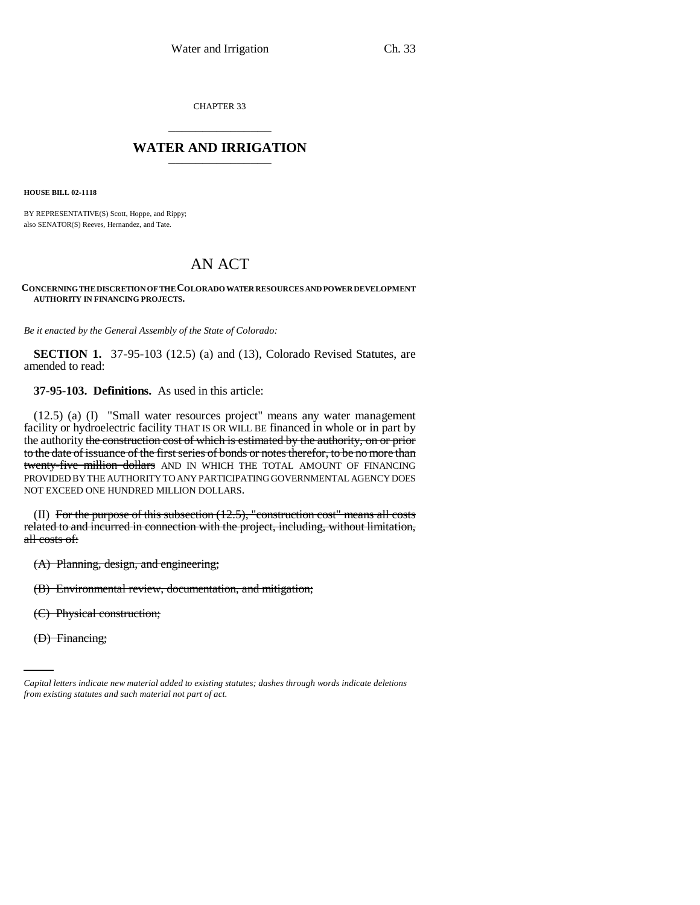CHAPTER 33 \_\_\_\_\_\_\_\_\_\_\_\_\_\_\_

## **WATER AND IRRIGATION** \_\_\_\_\_\_\_\_\_\_\_\_\_\_\_

**HOUSE BILL 02-1118**

BY REPRESENTATIVE(S) Scott, Hoppe, and Rippy; also SENATOR(S) Reeves, Hernandez, and Tate.

# AN ACT

### **CONCERNING THE DISCRETION OF THE COLORADO WATER RESOURCES AND POWER DEVELOPMENT AUTHORITY IN FINANCING PROJECTS.**

*Be it enacted by the General Assembly of the State of Colorado:*

**SECTION 1.** 37-95-103 (12.5) (a) and (13), Colorado Revised Statutes, are amended to read:

**37-95-103. Definitions.** As used in this article:

(12.5) (a) (I) "Small water resources project" means any water management facility or hydroelectric facility THAT IS OR WILL BE financed in whole or in part by the authority the construction cost of which is estimated by the authority, on or prior to the date of issuance of the first series of bonds or notes therefor, to be no more than twenty-five million dollars AND IN WHICH THE TOTAL AMOUNT OF FINANCING PROVIDED BY THE AUTHORITY TO ANY PARTICIPATING GOVERNMENTAL AGENCY DOES NOT EXCEED ONE HUNDRED MILLION DOLLARS.

(II) For the purpose of this subsection (12.5), "construction cost" means all costs related to and incurred in connection with the project, including, without limitation, all costs of:

(A) Planning, design, and engineering;

(B) Environmental review, documentation, and mitigation;

(C) Physical construction;

(D) Financing;

*Capital letters indicate new material added to existing statutes; dashes through words indicate deletions from existing statutes and such material not part of act.*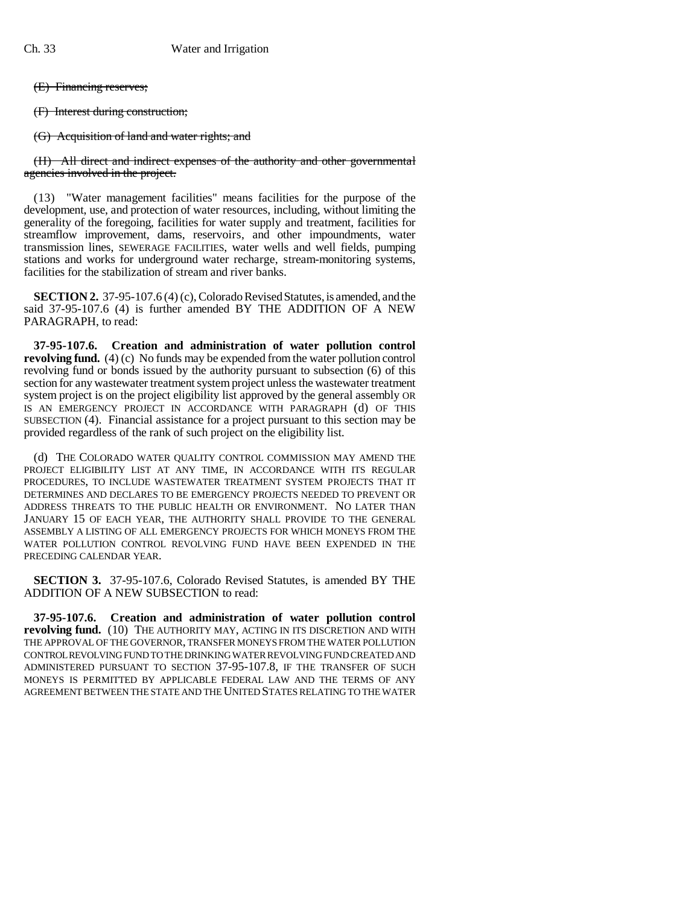(E) Financing reserves;

(F) Interest during construction;

(G) Acquisition of land and water rights; and

(H) All direct and indirect expenses of the authority and other governmental agencies involved in the project.

(13) "Water management facilities" means facilities for the purpose of the development, use, and protection of water resources, including, without limiting the generality of the foregoing, facilities for water supply and treatment, facilities for streamflow improvement, dams, reservoirs, and other impoundments, water transmission lines, SEWERAGE FACILITIES, water wells and well fields, pumping stations and works for underground water recharge, stream-monitoring systems, facilities for the stabilization of stream and river banks.

**SECTION 2.** 37-95-107.6 (4) (c), Colorado Revised Statutes, is amended, and the said 37-95-107.6 (4) is further amended BY THE ADDITION OF A NEW PARAGRAPH, to read:

**37-95-107.6. Creation and administration of water pollution control revolving fund.** (4) (c) No funds may be expended from the water pollution control revolving fund or bonds issued by the authority pursuant to subsection (6) of this section for any wastewater treatment system project unless the wastewater treatment system project is on the project eligibility list approved by the general assembly OR IS AN EMERGENCY PROJECT IN ACCORDANCE WITH PARAGRAPH (d) OF THIS SUBSECTION (4). Financial assistance for a project pursuant to this section may be provided regardless of the rank of such project on the eligibility list.

(d) THE COLORADO WATER QUALITY CONTROL COMMISSION MAY AMEND THE PROJECT ELIGIBILITY LIST AT ANY TIME, IN ACCORDANCE WITH ITS REGULAR PROCEDURES, TO INCLUDE WASTEWATER TREATMENT SYSTEM PROJECTS THAT IT DETERMINES AND DECLARES TO BE EMERGENCY PROJECTS NEEDED TO PREVENT OR ADDRESS THREATS TO THE PUBLIC HEALTH OR ENVIRONMENT. NO LATER THAN JANUARY 15 OF EACH YEAR, THE AUTHORITY SHALL PROVIDE TO THE GENERAL ASSEMBLY A LISTING OF ALL EMERGENCY PROJECTS FOR WHICH MONEYS FROM THE WATER POLLUTION CONTROL REVOLVING FUND HAVE BEEN EXPENDED IN THE PRECEDING CALENDAR YEAR.

**SECTION 3.** 37-95-107.6, Colorado Revised Statutes, is amended BY THE ADDITION OF A NEW SUBSECTION to read:

**37-95-107.6. Creation and administration of water pollution control revolving fund.** (10) THE AUTHORITY MAY, ACTING IN ITS DISCRETION AND WITH THE APPROVAL OF THE GOVERNOR, TRANSFER MONEYS FROM THE WATER POLLUTION CONTROL REVOLVING FUND TO THE DRINKING WATER REVOLVING FUND CREATED AND ADMINISTERED PURSUANT TO SECTION 37-95-107.8, IF THE TRANSFER OF SUCH MONEYS IS PERMITTED BY APPLICABLE FEDERAL LAW AND THE TERMS OF ANY AGREEMENT BETWEEN THE STATE AND THE UNITED STATES RELATING TO THE WATER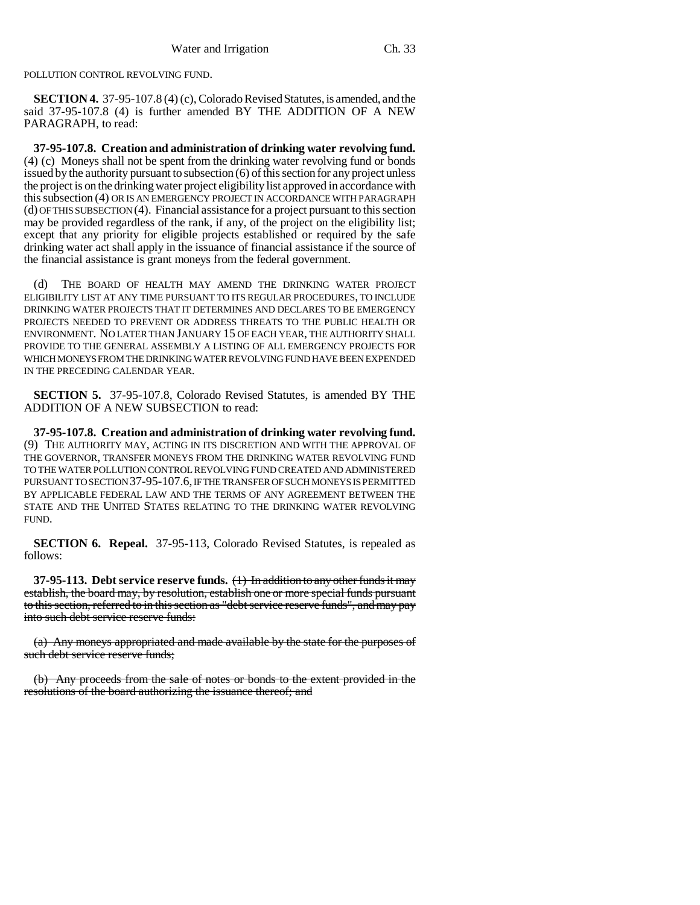POLLUTION CONTROL REVOLVING FUND.

**SECTION 4.** 37-95-107.8 (4) (c), Colorado Revised Statutes, is amended, and the said 37-95-107.8 (4) is further amended BY THE ADDITION OF A NEW PARAGRAPH, to read:

**37-95-107.8. Creation and administration of drinking water revolving fund.** (4) (c) Moneys shall not be spent from the drinking water revolving fund or bonds issued by the authority pursuant to subsection (6) of this section for any project unless the project is on the drinking water project eligibility list approved in accordance with this subsection (4) OR IS AN EMERGENCY PROJECT IN ACCORDANCE WITH PARAGRAPH (d) OF THIS SUBSECTION (4). Financial assistance for a project pursuant to this section may be provided regardless of the rank, if any, of the project on the eligibility list; except that any priority for eligible projects established or required by the safe drinking water act shall apply in the issuance of financial assistance if the source of the financial assistance is grant moneys from the federal government.

(d) THE BOARD OF HEALTH MAY AMEND THE DRINKING WATER PROJECT ELIGIBILITY LIST AT ANY TIME PURSUANT TO ITS REGULAR PROCEDURES, TO INCLUDE DRINKING WATER PROJECTS THAT IT DETERMINES AND DECLARES TO BE EMERGENCY PROJECTS NEEDED TO PREVENT OR ADDRESS THREATS TO THE PUBLIC HEALTH OR ENVIRONMENT. NO LATER THAN JANUARY 15 OF EACH YEAR, THE AUTHORITY SHALL PROVIDE TO THE GENERAL ASSEMBLY A LISTING OF ALL EMERGENCY PROJECTS FOR WHICH MONEYS FROM THE DRINKING WATER REVOLVING FUND HAVE BEEN EXPENDED IN THE PRECEDING CALENDAR YEAR.

**SECTION 5.** 37-95-107.8, Colorado Revised Statutes, is amended BY THE ADDITION OF A NEW SUBSECTION to read:

**37-95-107.8. Creation and administration of drinking water revolving fund.** (9) THE AUTHORITY MAY, ACTING IN ITS DISCRETION AND WITH THE APPROVAL OF THE GOVERNOR, TRANSFER MONEYS FROM THE DRINKING WATER REVOLVING FUND TO THE WATER POLLUTION CONTROL REVOLVING FUND CREATED AND ADMINISTERED PURSUANT TO SECTION 37-95-107.6, IF THE TRANSFER OF SUCH MONEYS IS PERMITTED BY APPLICABLE FEDERAL LAW AND THE TERMS OF ANY AGREEMENT BETWEEN THE STATE AND THE UNITED STATES RELATING TO THE DRINKING WATER REVOLVING FUND.

**SECTION 6. Repeal.** 37-95-113, Colorado Revised Statutes, is repealed as follows:

**37-95-113. Debt service reserve funds.** (1) In addition to any other funds it may establish, the board may, by resolution, establish one or more special funds pursuant to this section, referred to in this section as "debt service reserve funds", and may pay into such debt service reserve funds:

(a) Any moneys appropriated and made available by the state for the purposes of such debt service reserve funds;

(b) Any proceeds from the sale of notes or bonds to the extent provided in the resolutions of the board authorizing the issuance thereof; and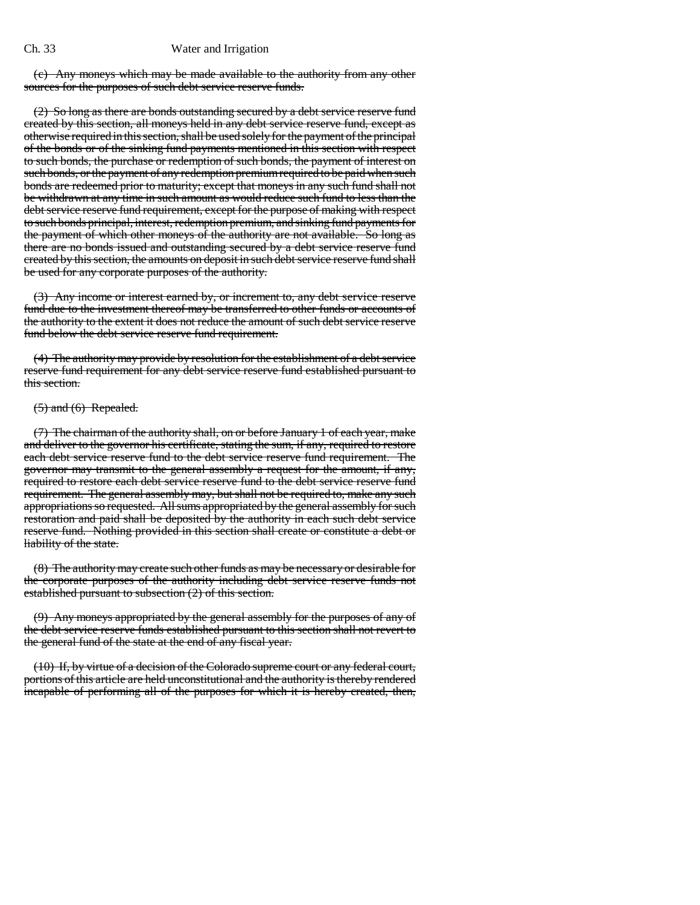#### Ch. 33 Water and Irrigation

(c) Any moneys which may be made available to the authority from any other sources for the purposes of such debt service reserve funds.

(2) So long as there are bonds outstanding secured by a debt service reserve fund created by this section, all moneys held in any debt service reserve fund, except as otherwise required in this section, shall be used solely for the payment of the principal of the bonds or of the sinking fund payments mentioned in this section with respect to such bonds, the purchase or redemption of such bonds, the payment of interest on such bonds, or the payment of any redemption premium required to be paid when such bonds are redeemed prior to maturity; except that moneys in any such fund shall not be withdrawn at any time in such amount as would reduce such fund to less than the debt service reserve fund requirement, except for the purpose of making with respect to such bonds principal, interest, redemption premium, and sinking fund payments for the payment of which other moneys of the authority are not available. So long as there are no bonds issued and outstanding secured by a debt service reserve fund created by this section, the amounts on deposit in such debt service reserve fund shall be used for any corporate purposes of the authority.

(3) Any income or interest earned by, or increment to, any debt service reserve fund due to the investment thereof may be transferred to other funds or accounts of the authority to the extent it does not reduce the amount of such debt service reserve fund below the debt service reserve fund requirement.

(4) The authority may provide by resolution for the establishment of a debt service reserve fund requirement for any debt service reserve fund established pursuant to this section.

#### $(5)$  and  $(6)$  Repealed.

(7) The chairman of the authority shall, on or before January 1 of each year, make and deliver to the governor his certificate, stating the sum, if any, required to restore each debt service reserve fund to the debt service reserve fund requirement. The governor may transmit to the general assembly a request for the amount, if any, required to restore each debt service reserve fund to the debt service reserve fund requirement. The general assembly may, but shall not be required to, make any such appropriations so requested. All sums appropriated by the general assembly for such restoration and paid shall be deposited by the authority in each such debt service reserve fund. Nothing provided in this section shall create or constitute a debt or liability of the state.

(8) The authority may create such other funds as may be necessary or desirable for the corporate purposes of the authority including debt service reserve funds not established pursuant to subsection (2) of this section.

(9) Any moneys appropriated by the general assembly for the purposes of any of the debt service reserve funds established pursuant to this section shall not revert to the general fund of the state at the end of any fiscal year.

(10) If, by virtue of a decision of the Colorado supreme court or any federal court, portions of this article are held unconstitutional and the authority is thereby rendered incapable of performing all of the purposes for which it is hereby created, then,